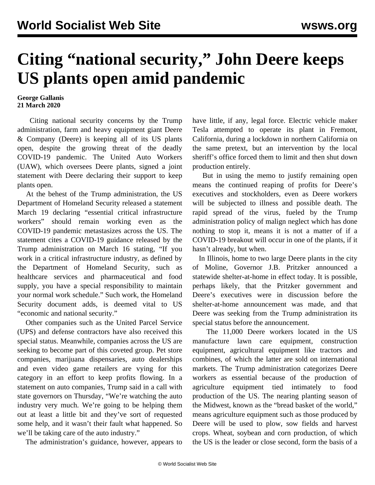## **Citing "national security," John Deere keeps US plants open amid pandemic**

## **George Gallanis 21 March 2020**

 Citing national security concerns by the Trump administration, farm and heavy equipment giant Deere & Company (Deere) is keeping all of its US plants open, despite the growing threat of the deadly COVID-19 pandemic. The United Auto Workers (UAW), which oversees Deere plants, signed a joint statement with Deere declaring their support to keep plants open.

 At the behest of the Trump administration, the US Department of Homeland Security released a statement March 19 declaring "essential critical infrastructure workers" should remain working even as the COVID-19 pandemic metastasizes across the US. The statement cites a COVID-19 guidance released by the Trump administration on March 16 stating, "If you work in a critical infrastructure industry, as defined by the Department of Homeland Security, such as healthcare services and pharmaceutical and food supply, you have a special responsibility to maintain your normal work schedule." Such work, the Homeland Security document adds, is deemed vital to US "economic and national security."

 Other companies such as the United Parcel Service (UPS) and defense contractors have also received this special status. Meanwhile, companies across the US are seeking to become part of this coveted group. Pet store companies, marijuana dispensaries, auto dealerships and even video game retailers are vying for this category in an effort to keep profits flowing. In a statement on auto companies, Trump said in a call with state governors on Thursday, "We're watching the auto industry very much. We're going to be helping them out at least a little bit and they've sort of requested some help, and it wasn't their fault what happened. So we'll be taking care of the auto industry."

The administration's guidance, however, appears to

have little, if any, legal force. Electric vehicle maker Tesla attempted to operate its plant in Fremont, California, during a lockdown in northern California on the same pretext, but an intervention by the local sheriff's office forced them to limit and then shut down production entirely.

 But in using the memo to justify remaining open means the continued reaping of profits for Deere's executives and stockholders, even as Deere workers will be subjected to illness and possible death. The rapid spread of the virus, fueled by the Trump administration policy of [malign neglect](/en/articles/2020/03/14/pers-m14.html) which has done nothing to stop it, means it is not a matter of if a COVID-19 breakout will occur in one of the plants, if it hasn't already, but when.

 In Illinois, home to two large Deere plants in the city of Moline, Governor J.B. Pritzker announced a statewide shelter-at-home in effect today. It is possible, perhaps likely, that the Pritzker government and Deere's executives were in discussion before the shelter-at-home announcement was made, and that Deere was seeking from the Trump administration its special status before the announcement.

 The 11,000 Deere workers located in the US manufacture lawn care equipment, construction equipment, agricultural equipment like tractors and combines, of which the latter are sold on international markets. The Trump administration categorizes Deere workers as essential because of the production of agriculture equipment tied intimately to food production of the US. The nearing planting season of the Midwest, known as the "bread basket of the world," means agriculture equipment such as those produced by Deere will be used to plow, sow fields and harvest crops. Wheat, soybean and corn production, of which the US is the leader or close second, form the basis of a